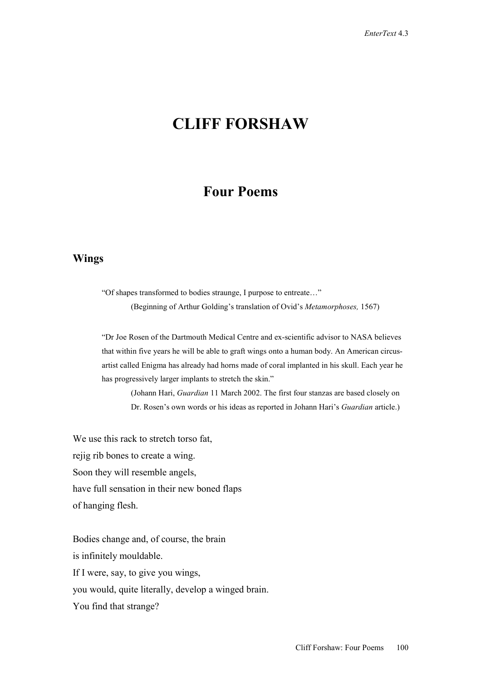# **CLIFF FORSHAW**

# **Four Poems**

#### **Wings**

"Of shapes transformed to bodies straunge, I purpose to entreate…" (Beginning of Arthur Golding's translation of Ovid's *Metamorphoses,* 1567)

"Dr Joe Rosen of the Dartmouth Medical Centre and ex-scientific advisor to NASA believes that within five years he will be able to graft wings onto a human body. An American circusartist called Enigma has already had horns made of coral implanted in his skull. Each year he has progressively larger implants to stretch the skin."

(Johann Hari, *Guardian* 11 March 2002. The first four stanzas are based closely on Dr. Rosen's own words or his ideas as reported in Johann Hari's *Guardian* article.)

We use this rack to stretch torso fat, rejig rib bones to create a wing. Soon they will resemble angels, have full sensation in their new boned flaps of hanging flesh.

Bodies change and, of course, the brain is infinitely mouldable. If I were, say, to give you wings, you would, quite literally, develop a winged brain. You find that strange?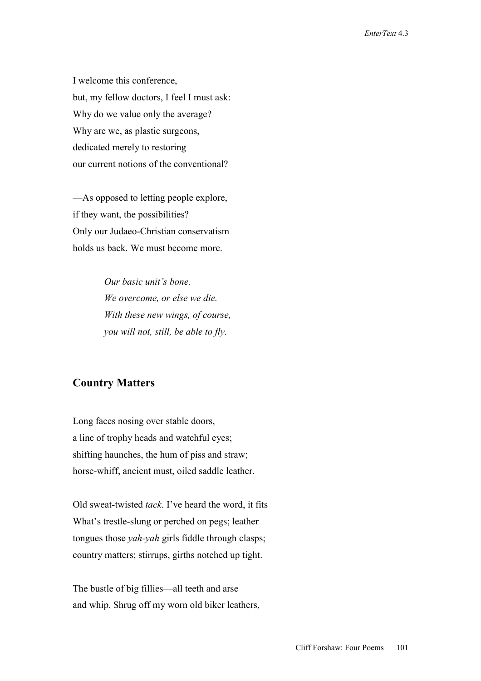I welcome this conference, but, my fellow doctors, I feel I must ask: Why do we value only the average? Why are we, as plastic surgeons, dedicated merely to restoring our current notions of the conventional?

—As opposed to letting people explore, if they want, the possibilities? Only our Judaeo-Christian conservatism holds us back. We must become more.

> *Our basic unit's bone. We overcome, or else we die. With these new wings, of course, you will not, still, be able to fly.*

# **Country Matters**

Long faces nosing over stable doors, a line of trophy heads and watchful eyes; shifting haunches, the hum of piss and straw; horse-whiff, ancient must, oiled saddle leather.

Old sweat-twisted *tack*. I've heard the word, it fits What's trestle-slung or perched on pegs; leather tongues those *yah-yah* girls fiddle through clasps; country matters; stirrups, girths notched up tight.

The bustle of big fillies—all teeth and arse and whip. Shrug off my worn old biker leathers,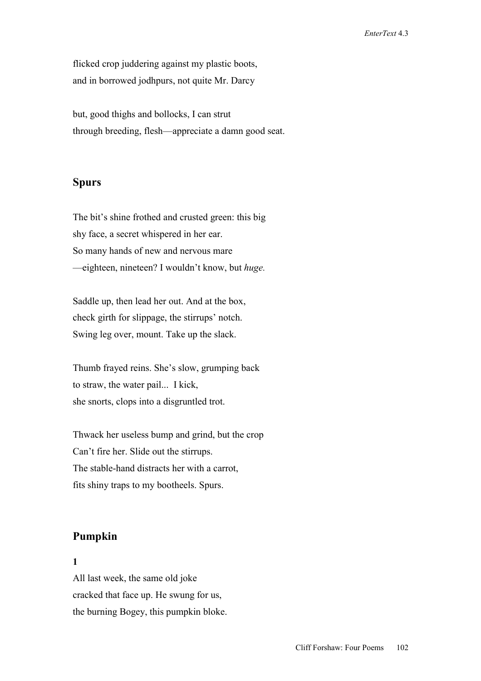flicked crop juddering against my plastic boots, and in borrowed jodhpurs, not quite Mr. Darcy

but, good thighs and bollocks, I can strut through breeding, flesh—appreciate a damn good seat.

# **Spurs**

The bit's shine frothed and crusted green: this big shy face, a secret whispered in her ear. So many hands of new and nervous mare —eighteen, nineteen? I wouldn't know, but *huge.*

Saddle up, then lead her out. And at the box, check girth for slippage, the stirrups' notch. Swing leg over, mount. Take up the slack.

Thumb frayed reins. She's slow, grumping back to straw, the water pail... I kick, she snorts, clops into a disgruntled trot.

Thwack her useless bump and grind, but the crop Can't fire her. Slide out the stirrups. The stable-hand distracts her with a carrot, fits shiny traps to my bootheels. Spurs.

# **Pumpkin**

#### **1**

All last week, the same old joke cracked that face up. He swung for us, the burning Bogey, this pumpkin bloke.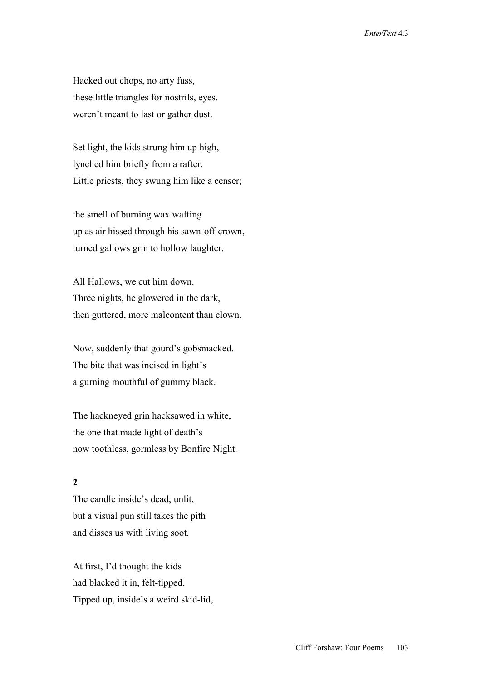Hacked out chops, no arty fuss, these little triangles for nostrils, eyes. weren't meant to last or gather dust.

Set light, the kids strung him up high, lynched him briefly from a rafter. Little priests, they swung him like a censer;

the smell of burning wax wafting up as air hissed through his sawn-off crown, turned gallows grin to hollow laughter.

All Hallows, we cut him down. Three nights, he glowered in the dark, then guttered, more malcontent than clown.

Now, suddenly that gourd's gobsmacked. The bite that was incised in light's a gurning mouthful of gummy black.

The hackneyed grin hacksawed in white, the one that made light of death's now toothless, gormless by Bonfire Night.

# **2**

The candle inside's dead, unlit, but a visual pun still takes the pith and disses us with living soot.

At first, I'd thought the kids had blacked it in, felt-tipped. Tipped up, inside's a weird skid-lid,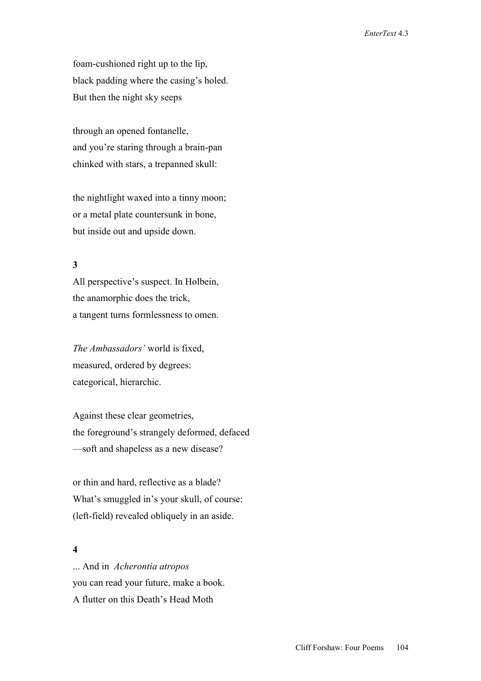foam-cushioned right up to the lip, black padding where the casing's holed. But then the night sky seeps

through an opened fontanelle, and you're staring through a brain-pan chinked with stars, a trepanned skull:

the nightlight waxed into a tinny moon; or a metal plate countersunk in bone, but inside out and upside down.

## **3**

All perspective's suspect. In Holbein, the anamorphic does the trick, a tangent turns formlessness to omen.

*The Ambassadors'* world is fixed, measured, ordered by degrees: categorical, hierarchic.

Against these clear geometries, the foreground's strangely deformed, defaced —soft and shapeless as a new disease?

or thin and hard, reflective as a blade? What's smuggled in's your skull, of course: (left-field) revealed obliquely in an aside.

#### **4**

... And in *Acherontia atropos* you can read your future, make a book. A flutter on this Death's Head Moth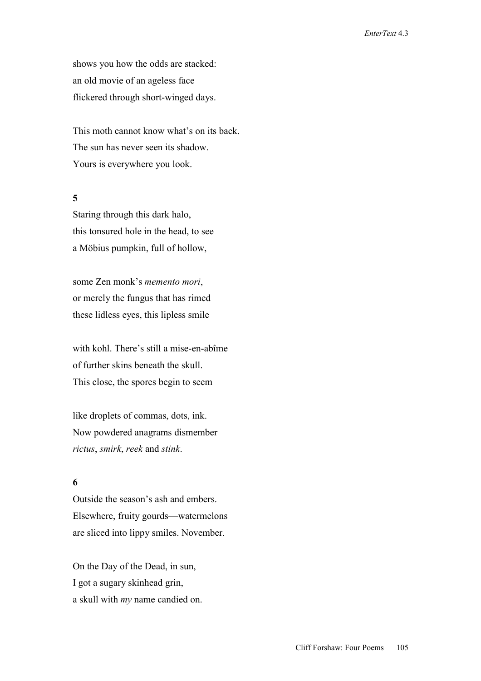shows you how the odds are stacked: an old movie of an ageless face flickered through short-winged days.

This moth cannot know what's on its back. The sun has never seen its shadow. Yours is everywhere you look.

#### **5**

Staring through this dark halo, this tonsured hole in the head, to see a Möbius pumpkin, full of hollow,

some Zen monk's *memento mori*, or merely the fungus that has rimed these lidless eyes, this lipless smile

with kohl. There's still a mise-en-abîme of further skins beneath the skull. This close, the spores begin to seem

like droplets of commas, dots, ink. Now powdered anagrams dismember *rictus*, *smirk*, *reek* and *stink*.

# **6**

Outside the season's ash and embers. Elsewhere, fruity gourds—watermelons are sliced into lippy smiles. November.

On the Day of the Dead, in sun, I got a sugary skinhead grin, a skull with *my* name candied on.